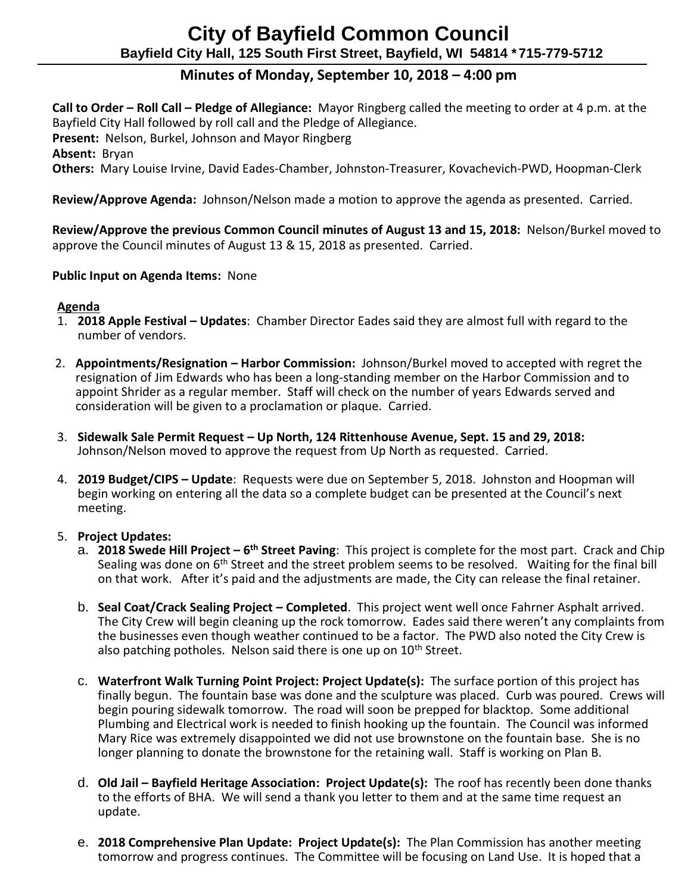# **City of Bayfield Common Council Bayfield City Hall, 125 South First Street, Bayfield, WI 54814 \*715-779-5712**

## **Minutes of Monday, September 10, 2018 – 4:00 pm**

 **Call to Order – Roll Call – Pledge of Allegiance:** Mayor Ringberg called the meeting to order at 4 p.m. at the Bayfield City Hall followed by roll call and the Pledge of Allegiance.  **Present:** Nelson, Burkel, Johnson and Mayor Ringberg  **Absent:** Bryan  **Others:** Mary Louise Irvine, David Eades-Chamber, Johnston-Treasurer, Kovachevich-PWD, Hoopman-Clerk

**Review/Approve Agenda:** Johnson/Nelson made a motion to approve the agenda as presented. Carried.

 **Review/Approve the previous Common Council minutes of August 13 and 15, 2018:** Nelson/Burkel moved to approve the Council minutes of August 13 & 15, 2018 as presented. Carried.

#### **Public Input on Agenda Items:** None

#### **Agenda**

- 1. **2018 Apple Festival – Updates**: Chamber Director Eades said they are almost full with regard to the number of vendors.
- 2. **Appointments/Resignation – Harbor Commission:** Johnson/Burkel moved to accepted with regret the resignation of Jim Edwards who has been a long-standing member on the Harbor Commission and to appoint Shrider as a regular member. Staff will check on the number of years Edwards served and consideration will be given to a proclamation or plaque. Carried.
- 3. **Sidewalk Sale Permit Request – Up North, 124 Rittenhouse Avenue, Sept. 15 and 29, 2018:**  Johnson/Nelson moved to approve the request from Up North as requested. Carried.
- 4. **2019 Budget/CIPS – Update**: Requests were due on September 5, 2018. Johnston and Hoopman will begin working on entering all the data so a complete budget can be presented at the Council's next meeting.

#### 5. **Project Updates:**

- a. **2018 Swede Hill Project – 6 th Street Paving**: This project is complete for the most part. Crack and Chip Sealing was done on 6<sup>th</sup> Street and the street problem seems to be resolved. Waiting for the final bill on that work. After it's paid and the adjustments are made, the City can release the final retainer.
- b. **Seal Coat/Crack Sealing Project – Completed**. This project went well once Fahrner Asphalt arrived. The City Crew will begin cleaning up the rock tomorrow. Eades said there weren't any complaints from the businesses even though weather continued to be a factor. The PWD also noted the City Crew is also patching potholes. Nelson said there is one up on  $10<sup>th</sup>$  Street.
- c. **Waterfront Walk Turning Point Project: Project Update(s):** The surface portion of this project has finally begun. The fountain base was done and the sculpture was placed. Curb was poured. Crews will begin pouring sidewalk tomorrow. The road will soon be prepped for blacktop. Some additional Plumbing and Electrical work is needed to finish hooking up the fountain. The Council was informed Mary Rice was extremely disappointed we did not use brownstone on the fountain base. She is no longer planning to donate the brownstone for the retaining wall. Staff is working on Plan B.
- d. **Old Jail – Bayfield Heritage Association: Project Update(s):** The roof has recently been done thanks to the efforts of BHA. We will send a thank you letter to them and at the same time request an update.
- e. **2018 Comprehensive Plan Update: Project Update(s):** The Plan Commission has another meeting tomorrow and progress continues. The Committee will be focusing on Land Use. It is hoped that a